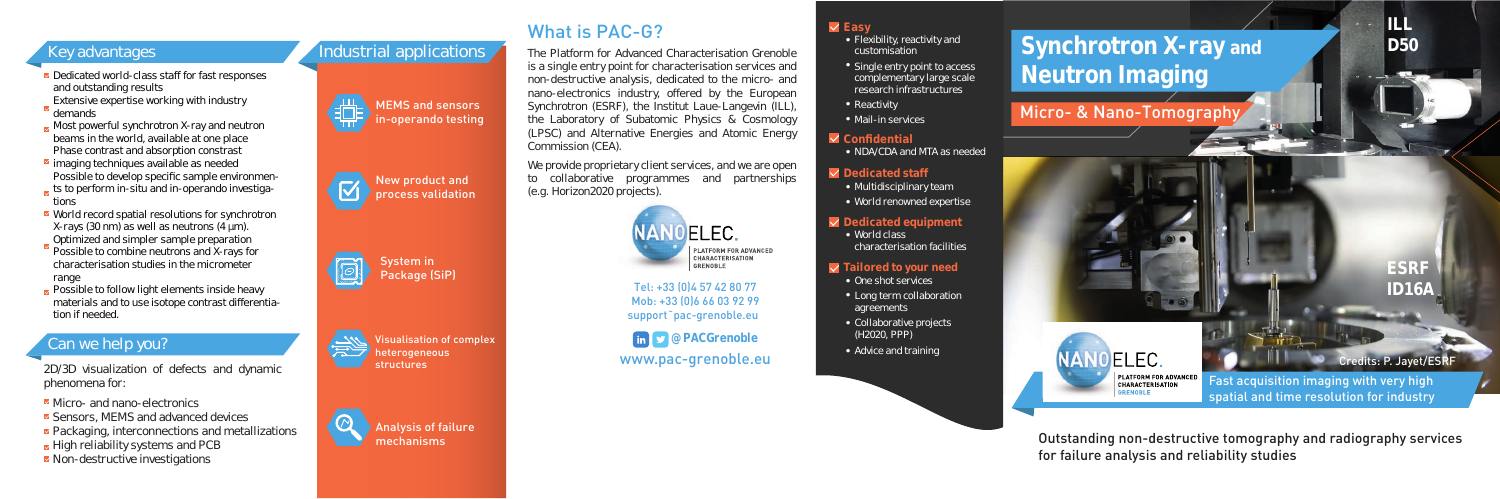

**ESRF ID16A**

Outstanding non-destructive tomography and radiography services for failure analysis and reliability studies

Fast acquisition imaging with very high spatial and time resolution for industry







- **■** Dedicated world-class staff for fast responses and outstanding results Extensive expertise working with industry
- demands
- Most powerful synchrotron X-ray and neutron beams in the world, available at one place Phase contrast and absorption constrast
- $\blacksquare$  imaging techniques available as needed Possible to develop specific sample environmen-
- ts to perform in-situ and in-operando investigations
- World record spatial resolutions for synchrotron X-rays (30 nm) as well as neutrons (4 µm). Optimized and simpler sample preparation
- Possible to combine neutrons and X-rays for characterisation studies in the micrometer range
- $\triangleright$  Possible to follow light elements inside heavy materials and to use isotope contrast differentiation if needed.

# **Key advantages Synchrotron X-ray and** and the Platform for Advanced Characterisation Grenoble structurity and and the Synchrotron X-ray and **Neutron Imaging**

• World class characterisation facilities

# Micro- & Nano-Tomography







# Can we help you?

2D/3D visualization of defects and dynamic phenomena for:

- Micro- and nano-electronics
- Sensors, MEMS and advanced devices
- Packaging, interconnections and metallizations
- $\blacktriangleright$  High reliability systems and PCB
- Non-destructive investigations

We provide proprietary client services, and we are open to collaborative programmes and partnerships (e.g. Horizon2020 projects).



New product and process validation

## **Dedicated equipment**

## **Tailored to your need**

- One shot services
- Long term collaboration agreements
- Collaborative projects (H2020, PPP)
- Advice and training



# **Dedicated staff**

- Multidisciplinary team
- World renowned expertise

## **Confidential**

• NDA/CDA and MTA as needed

# **Easy**





- Flexibility, reactivity and customisation
- Single entry point to access complementary large scale research infrastructures
- 
- Mail-in services

www.pac-grenoble.eu **@PACGrenoble**

Tel: +33 (0)4 57 42 80 77 Mob: +33 (0)6 66 03 92 99 support˜pac-grenoble.eu

What is PAC-G?

The Platform for Advanced Characterisation Grenoble is a single entry point for characterisation services and non-destructive analysis, dedicated to the micro- and nano-electronics industry, offered by the European Synchrotron (ESRF), the Institut Laue-Langevin (ILL), the Laboratory of Subatomic Physics & Cosmology (LPSC) and Alternative Energies and Atomic Energy Commission (CEA).

Credits: P. Jayet/ESRF